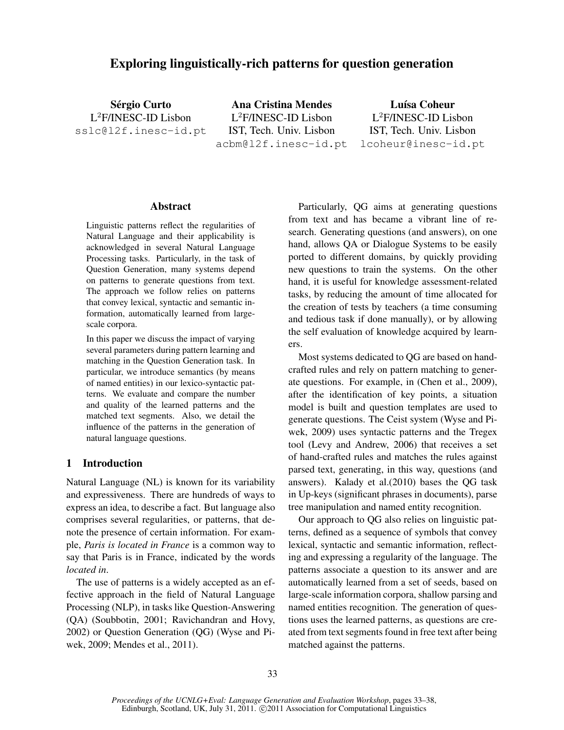# Exploring linguistically-rich patterns for question generation

Sérgio Curto L <sup>2</sup>F/INESC-ID Lisbon sslc@l2f.inesc-id.pt

Ana Cristina Mendes L <sup>2</sup>F/INESC-ID Lisbon IST, Tech. Univ. Lisbon acbm@l2f.inesc-id.pt

Luísa Coheur L <sup>2</sup>F/INESC-ID Lisbon IST, Tech. Univ. Lisbon lcoheur@inesc-id.pt

#### Abstract

Linguistic patterns reflect the regularities of Natural Language and their applicability is acknowledged in several Natural Language Processing tasks. Particularly, in the task of Question Generation, many systems depend on patterns to generate questions from text. The approach we follow relies on patterns that convey lexical, syntactic and semantic information, automatically learned from largescale corpora.

In this paper we discuss the impact of varying several parameters during pattern learning and matching in the Question Generation task. In particular, we introduce semantics (by means of named entities) in our lexico-syntactic patterns. We evaluate and compare the number and quality of the learned patterns and the matched text segments. Also, we detail the influence of the patterns in the generation of natural language questions.

### 1 Introduction

Natural Language (NL) is known for its variability and expressiveness. There are hundreds of ways to express an idea, to describe a fact. But language also comprises several regularities, or patterns, that denote the presence of certain information. For example, *Paris is located in France* is a common way to say that Paris is in France, indicated by the words *located in*.

The use of patterns is a widely accepted as an effective approach in the field of Natural Language Processing (NLP), in tasks like Question-Answering (QA) (Soubbotin, 2001; Ravichandran and Hovy, 2002) or Question Generation (QG) (Wyse and Piwek, 2009; Mendes et al., 2011).

Particularly, QG aims at generating questions from text and has became a vibrant line of research. Generating questions (and answers), on one hand, allows QA or Dialogue Systems to be easily ported to different domains, by quickly providing new questions to train the systems. On the other hand, it is useful for knowledge assessment-related tasks, by reducing the amount of time allocated for the creation of tests by teachers (a time consuming and tedious task if done manually), or by allowing the self evaluation of knowledge acquired by learners.

Most systems dedicated to QG are based on handcrafted rules and rely on pattern matching to generate questions. For example, in (Chen et al., 2009), after the identification of key points, a situation model is built and question templates are used to generate questions. The Ceist system (Wyse and Piwek, 2009) uses syntactic patterns and the Tregex tool (Levy and Andrew, 2006) that receives a set of hand-crafted rules and matches the rules against parsed text, generating, in this way, questions (and answers). Kalady et al.(2010) bases the QG task in Up-keys (significant phrases in documents), parse tree manipulation and named entity recognition.

Our approach to QG also relies on linguistic patterns, defined as a sequence of symbols that convey lexical, syntactic and semantic information, reflecting and expressing a regularity of the language. The patterns associate a question to its answer and are automatically learned from a set of seeds, based on large-scale information corpora, shallow parsing and named entities recognition. The generation of questions uses the learned patterns, as questions are created from text segments found in free text after being matched against the patterns.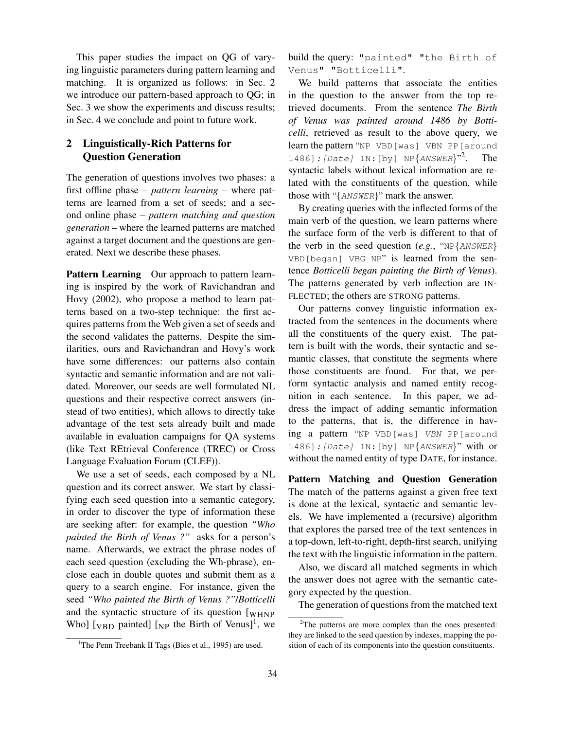This paper studies the impact on QG of varying linguistic parameters during pattern learning and matching. It is organized as follows: in Sec. 2 we introduce our pattern-based approach to QG; in Sec. 3 we show the experiments and discuss results; in Sec. 4 we conclude and point to future work.

# 2 Linguistically-Rich Patterns for Question Generation

The generation of questions involves two phases: a first offline phase – *pattern learning* – where patterns are learned from a set of seeds; and a second online phase – *pattern matching and question generation* – where the learned patterns are matched against a target document and the questions are generated. Next we describe these phases.

Pattern Learning Our approach to pattern learning is inspired by the work of Ravichandran and Hovy (2002), who propose a method to learn patterns based on a two-step technique: the first acquires patterns from the Web given a set of seeds and the second validates the patterns. Despite the similarities, ours and Ravichandran and Hovy's work have some differences: our patterns also contain syntactic and semantic information and are not validated. Moreover, our seeds are well formulated NL questions and their respective correct answers (instead of two entities), which allows to directly take advantage of the test sets already built and made available in evaluation campaigns for QA systems (like Text REtrieval Conference (TREC) or Cross Language Evaluation Forum (CLEF)).

We use a set of seeds, each composed by a NL question and its correct answer. We start by classifying each seed question into a semantic category, in order to discover the type of information these are seeking after: for example, the question *"Who painted the Birth of Venus ?"* asks for a person's name. Afterwards, we extract the phrase nodes of each seed question (excluding the Wh-phrase), enclose each in double quotes and submit them as a query to a search engine. For instance, given the seed *"Who painted the Birth of Venus ?"*/*Botticelli* and the syntactic structure of its question [WHNP Who]  $[v_{BD}$  painted]  $[v_{NP}$  the Birth of Venus]<sup>1</sup>, we

build the query: "painted" "the Birth of Venus" "Botticelli".

We build patterns that associate the entities in the question to the answer from the top retrieved documents. From the sentence *The Birth of Venus was painted around 1486 by Botticelli*, retrieved as result to the above query, we learn the pattern "NP VBD[was] VBN PP[around 1486]: [Date] IN: [by]  $NP{ANSWER}$ "<sup>2</sup> . The syntactic labels without lexical information are related with the constituents of the question, while those with "{ANSWER}" mark the answer.

By creating queries with the inflected forms of the main verb of the question, we learn patterns where the surface form of the verb is different to that of the verb in the seed question  $(e.g., "NP{\texttt{ANSWER}})$ VBD[began] VBG NP" is learned from the sentence *Botticelli began painting the Birth of Venus*). The patterns generated by verb inflection are IN-FLECTED; the others are STRONG patterns.

Our patterns convey linguistic information extracted from the sentences in the documents where all the constituents of the query exist. The pattern is built with the words, their syntactic and semantic classes, that constitute the segments where those constituents are found. For that, we perform syntactic analysis and named entity recognition in each sentence. In this paper, we address the impact of adding semantic information to the patterns, that is, the difference in having a pattern "NP VBD[was] VBN PP[around 1486]:[Date] IN:[by] NP{ANSWER}" with or without the named entity of type DATE, for instance.

Pattern Matching and Question Generation The match of the patterns against a given free text is done at the lexical, syntactic and semantic levels. We have implemented a (recursive) algorithm that explores the parsed tree of the text sentences in a top-down, left-to-right, depth-first search, unifying the text with the linguistic information in the pattern.

Also, we discard all matched segments in which the answer does not agree with the semantic category expected by the question.

The generation of questions from the matched text

<sup>&</sup>lt;sup>1</sup>The Penn Treebank II Tags (Bies et al., 1995) are used.

<sup>&</sup>lt;sup>2</sup>The patterns are more complex than the ones presented: they are linked to the seed question by indexes, mapping the position of each of its components into the question constituents.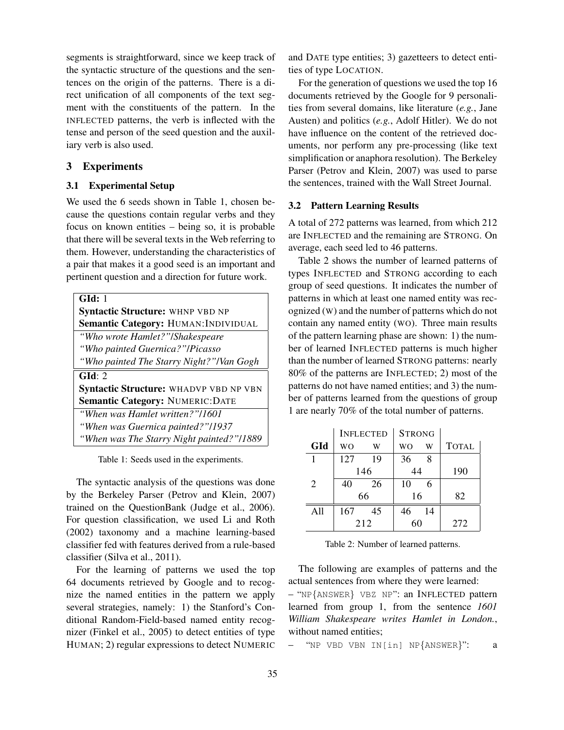segments is straightforward, since we keep track of the syntactic structure of the questions and the sentences on the origin of the patterns. There is a direct unification of all components of the text segment with the constituents of the pattern. In the INFLECTED patterns, the verb is inflected with the tense and person of the seed question and the auxiliary verb is also used.

### 3 Experiments

### 3.1 Experimental Setup

We used the 6 seeds shown in Table 1, chosen because the questions contain regular verbs and they focus on known entities – being so, it is probable that there will be several texts in the Web referring to them. However, understanding the characteristics of a pair that makes it a good seed is an important and pertinent question and a direction for future work.

| GId: 1                                    |
|-------------------------------------------|
| Syntactic Structure: WHNP VBD NP          |
| Semantic Category: HUMAN: INDIVIDUAL      |
| "Who wrote Hamlet?"/Shakespeare           |
| "Who painted Guernica?"/Picasso           |
| "Who painted The Starry Night?"/Van Gogh  |
| GId: 2                                    |
| Syntactic Structure: WHADVP VBD NP VBN    |
| <b>Semantic Category: NUMERIC: DATE</b>   |
| "When was Hamlet written?"/1601           |
| "When was Guernica painted?"/1937         |
| "When was The Starry Night painted?"/1889 |

Table 1: Seeds used in the experiments.

The syntactic analysis of the questions was done by the Berkeley Parser (Petrov and Klein, 2007) trained on the QuestionBank (Judge et al., 2006). For question classification, we used Li and Roth (2002) taxonomy and a machine learning-based classifier fed with features derived from a rule-based classifier (Silva et al., 2011).

For the learning of patterns we used the top 64 documents retrieved by Google and to recognize the named entities in the pattern we apply several strategies, namely: 1) the Stanford's Conditional Random-Field-based named entity recognizer (Finkel et al., 2005) to detect entities of type HUMAN; 2) regular expressions to detect NUMERIC

and DATE type entities; 3) gazetteers to detect entities of type LOCATION.

For the generation of questions we used the top 16 documents retrieved by the Google for 9 personalities from several domains, like literature (*e.g.*, Jane Austen) and politics (*e.g.*, Adolf Hitler). We do not have influence on the content of the retrieved documents, nor perform any pre-processing (like text simplification or anaphora resolution). The Berkeley Parser (Petrov and Klein, 2007) was used to parse the sentences, trained with the Wall Street Journal.

### 3.2 Pattern Learning Results

A total of 272 patterns was learned, from which 212 are INFLECTED and the remaining are STRONG. On average, each seed led to 46 patterns.

Table 2 shows the number of learned patterns of types INFLECTED and STRONG according to each group of seed questions. It indicates the number of patterns in which at least one named entity was recognized (W) and the number of patterns which do not contain any named entity (WO). Three main results of the pattern learning phase are shown: 1) the number of learned INFLECTED patterns is much higher than the number of learned STRONG patterns: nearly 80% of the patterns are INFLECTED; 2) most of the patterns do not have named entities; and 3) the number of patterns learned from the questions of group 1 are nearly 70% of the total number of patterns.

|                |     | <b>INFLECTED</b> | <b>STRONG</b> |    |              |  |
|----------------|-----|------------------|---------------|----|--------------|--|
| GId            | WΟ  | W                | WΟ            | W  | <b>TOTAL</b> |  |
|                | 127 | 19               | 36            | 8  |              |  |
|                | 146 |                  | 44            |    | 190          |  |
| $\overline{2}$ | 40  | 26               | 10            |    |              |  |
|                | 66  |                  | 16            |    | 82           |  |
| A11            | 167 | 45               | 46            | 14 |              |  |
|                | 212 |                  | 60            |    | 272          |  |

Table 2: Number of learned patterns.

The following are examples of patterns and the actual sentences from where they were learned:

– "NP{ANSWER} VBZ NP": an INFLECTED pattern learned from group 1, from the sentence *1601 William Shakespeare writes Hamlet in London.*, without named entities;

– "NP VBD VBN IN[in] NP{ANSWER}": a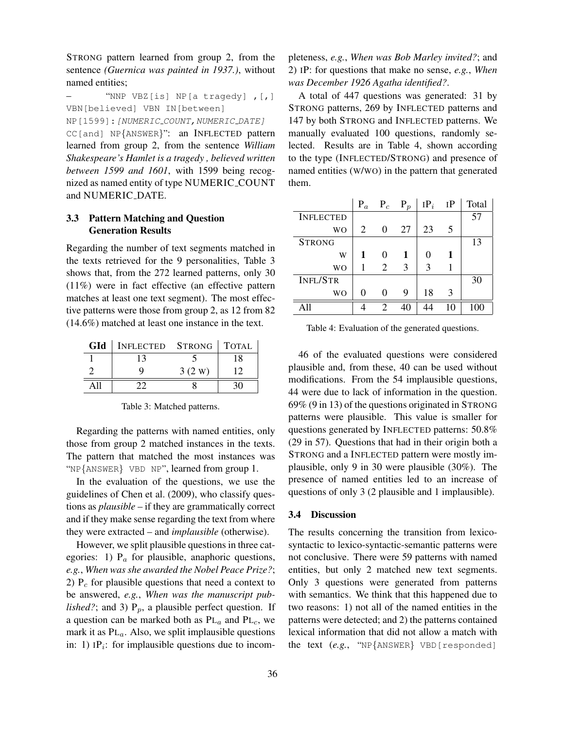STRONG pattern learned from group 2, from the sentence *(Guernica was painted in 1937.)*, without named entities;

"NNP VBZ[is] NP[a tragedy], [,] VBN[believed] VBN IN[between]

NP<sup>[1599]</sup>: [NUMERIC\_COUNT, NUMERIC\_DATE]

CC[and] NP{ANSWER}": an INFLECTED pattern learned from group 2, from the sentence *William Shakespeare's Hamlet is a tragedy , believed written between 1599 and 1601*, with 1599 being recognized as named entity of type NUMERIC COUNT and NUMERIC DATE.

## 3.3 Pattern Matching and Question Generation Results

Regarding the number of text segments matched in the texts retrieved for the 9 personalities, Table 3 shows that, from the 272 learned patterns, only 30 (11%) were in fact effective (an effective pattern matches at least one text segment). The most effective patterns were those from group 2, as 12 from 82 (14.6%) matched at least one instance in the text.

| GId | INFLECTED STRONG   TOTAL |        |    |
|-----|--------------------------|--------|----|
|     |                          |        | 18 |
|     |                          | 3(2 W) |    |
|     |                          |        |    |

Table 3: Matched patterns.

Regarding the patterns with named entities, only those from group 2 matched instances in the texts. The pattern that matched the most instances was "NP{ANSWER} VBD NP", learned from group 1.

In the evaluation of the questions, we use the guidelines of Chen et al. (2009), who classify questions as *plausible* – if they are grammatically correct and if they make sense regarding the text from where they were extracted – and *implausible* (otherwise).

However, we split plausible questions in three categories: 1)  $P_a$  for plausible, anaphoric questions, *e.g.*, *When was she awarded the Nobel Peace Prize?*; 2)  $P_c$  for plausible questions that need a context to be answered, *e.g.*, *When was the manuscript published?*; and 3)  $P_p$ , a plausible perfect question. If a question can be marked both as  $PL_a$  and  $PL_c$ , we mark it as  $PL_a$ . Also, we split implausible questions in: 1)  $IP_i$ : for implausible questions due to incompleteness, *e.g.*, *When was Bob Marley invited?*; and 2) IP: for questions that make no sense, *e.g.*, *When was December 1926 Agatha identified?*.

A total of 447 questions was generated: 31 by STRONG patterns, 269 by INFLECTED patterns and 147 by both STRONG and INFLECTED patterns. We manually evaluated 100 questions, randomly selected. Results are in Table 4, shown according to the type (INFLECTED/STRONG) and presence of named entities (W/WO) in the pattern that generated them.

|                  | $P_a$ | $P_c$ $P_p$    |    | $IP_i$ | IP | Total |
|------------------|-------|----------------|----|--------|----|-------|
| <b>INFLECTED</b> |       |                |    |        |    | 57    |
| <b>WO</b>        | 2     | 0              | 27 | 23     | 5  |       |
| <b>STRONG</b>    |       |                |    |        |    | 13    |
| W                |       |                | 1  |        |    |       |
| <b>WO</b>        |       | 2              | 3  | 3      |    |       |
| <b>INFL/STR</b>  |       |                |    |        |    | 30    |
| <b>WO</b>        | 0     | $\Omega$       | 9  | 18     | 3  |       |
|                  |       | $\mathfrak{D}$ | 40 |        |    | 100   |

Table 4: Evaluation of the generated questions.

46 of the evaluated questions were considered plausible and, from these, 40 can be used without modifications. From the 54 implausible questions, 44 were due to lack of information in the question. 69% (9 in 13) of the questions originated in STRONG patterns were plausible. This value is smaller for questions generated by INFLECTED patterns: 50.8% (29 in 57). Questions that had in their origin both a STRONG and a INFLECTED pattern were mostly implausible, only 9 in 30 were plausible (30%). The presence of named entities led to an increase of questions of only 3 (2 plausible and 1 implausible).

## 3.4 Discussion

The results concerning the transition from lexicosyntactic to lexico-syntactic-semantic patterns were not conclusive. There were 59 patterns with named entities, but only 2 matched new text segments. Only 3 questions were generated from patterns with semantics. We think that this happened due to two reasons: 1) not all of the named entities in the patterns were detected; and 2) the patterns contained lexical information that did not allow a match with the text (*e.g.*, "NP{ANSWER} VBD[responded]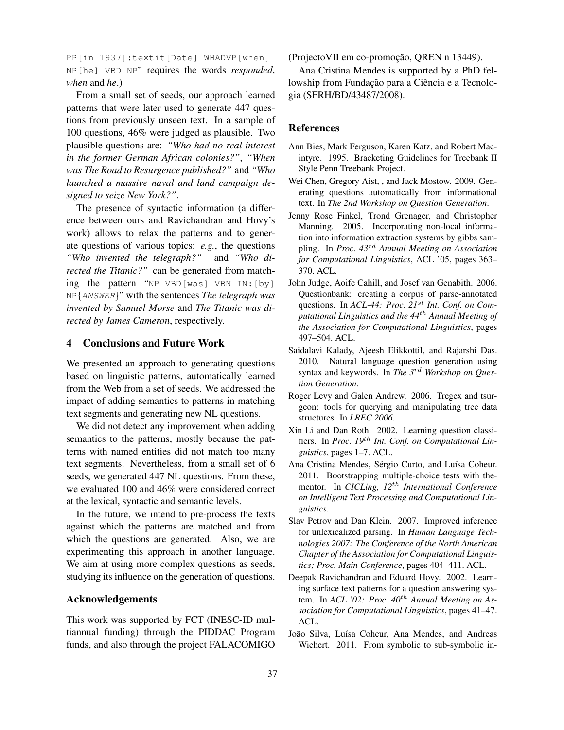PP[in 1937]:textit[Date] WHADVP[when] NP[he] VBD NP" requires the words *responded*, *when* and *he*.)

From a small set of seeds, our approach learned patterns that were later used to generate 447 questions from previously unseen text. In a sample of 100 questions, 46% were judged as plausible. Two plausible questions are: *"Who had no real interest in the former German African colonies?"*, *"When was The Road to Resurgence published?"* and *"Who launched a massive naval and land campaign designed to seize New York?"*.

The presence of syntactic information (a difference between ours and Ravichandran and Hovy's work) allows to relax the patterns and to generate questions of various topics: *e.g.*, the questions *"Who invented the telegraph?"* and *"Who directed the Titanic?"* can be generated from matching the pattern "NP VBD[was] VBN IN:[by] NP{ANSWER}" with the sentences *The telegraph was invented by Samuel Morse* and *The Titanic was directed by James Cameron*, respectively.

#### 4 Conclusions and Future Work

We presented an approach to generating questions based on linguistic patterns, automatically learned from the Web from a set of seeds. We addressed the impact of adding semantics to patterns in matching text segments and generating new NL questions.

We did not detect any improvement when adding semantics to the patterns, mostly because the patterns with named entities did not match too many text segments. Nevertheless, from a small set of 6 seeds, we generated 447 NL questions. From these, we evaluated 100 and 46% were considered correct at the lexical, syntactic and semantic levels.

In the future, we intend to pre-process the texts against which the patterns are matched and from which the questions are generated. Also, we are experimenting this approach in another language. We aim at using more complex questions as seeds, studying its influence on the generation of questions.

#### Acknowledgements

This work was supported by FCT (INESC-ID multiannual funding) through the PIDDAC Program funds, and also through the project FALACOMIGO

(Projecto VII em co-promoção, QREN n 13449).

Ana Cristina Mendes is supported by a PhD fellowship from Fundação para a Ciência e a Tecnologia (SFRH/BD/43487/2008).

#### References

- Ann Bies, Mark Ferguson, Karen Katz, and Robert Macintyre. 1995. Bracketing Guidelines for Treebank II Style Penn Treebank Project.
- Wei Chen, Gregory Aist, , and Jack Mostow. 2009. Generating questions automatically from informational text. In *The 2nd Workshop on Question Generation*.
- Jenny Rose Finkel, Trond Grenager, and Christopher Manning. 2005. Incorporating non-local information into information extraction systems by gibbs sampling. In *Proc. 43*rd *Annual Meeting on Association for Computational Linguistics*, ACL '05, pages 363– 370. ACL.
- John Judge, Aoife Cahill, and Josef van Genabith. 2006. Questionbank: creating a corpus of parse-annotated questions. In *ACL-44: Proc. 21*st *Int. Conf. on Computational Linguistics and the 44*th *Annual Meeting of the Association for Computational Linguistics*, pages 497–504. ACL.
- Saidalavi Kalady, Ajeesh Elikkottil, and Rajarshi Das. 2010. Natural language question generation using syntax and keywords. In *The 3*rd *Workshop on Question Generation*.
- Roger Levy and Galen Andrew. 2006. Tregex and tsurgeon: tools for querying and manipulating tree data structures. In *LREC 2006*.
- Xin Li and Dan Roth. 2002. Learning question classifiers. In *Proc. 19*th *Int. Conf. on Computational Linguistics*, pages 1–7. ACL.
- Ana Cristina Mendes, Sérgio Curto, and Luísa Coheur. 2011. Bootstrapping multiple-choice tests with thementor. In *CICLing, 12*th *International Conference on Intelligent Text Processing and Computational Linguistics*.
- Slav Petrov and Dan Klein. 2007. Improved inference for unlexicalized parsing. In *Human Language Technologies 2007: The Conference of the North American Chapter of the Association for Computational Linguistics; Proc. Main Conference*, pages 404–411. ACL.
- Deepak Ravichandran and Eduard Hovy. 2002. Learning surface text patterns for a question answering system. In *ACL '02: Proc. 40*th *Annual Meeting on Association for Computational Linguistics*, pages 41–47. ACL.
- João Silva, Luísa Coheur, Ana Mendes, and Andreas Wichert. 2011. From symbolic to sub-symbolic in-